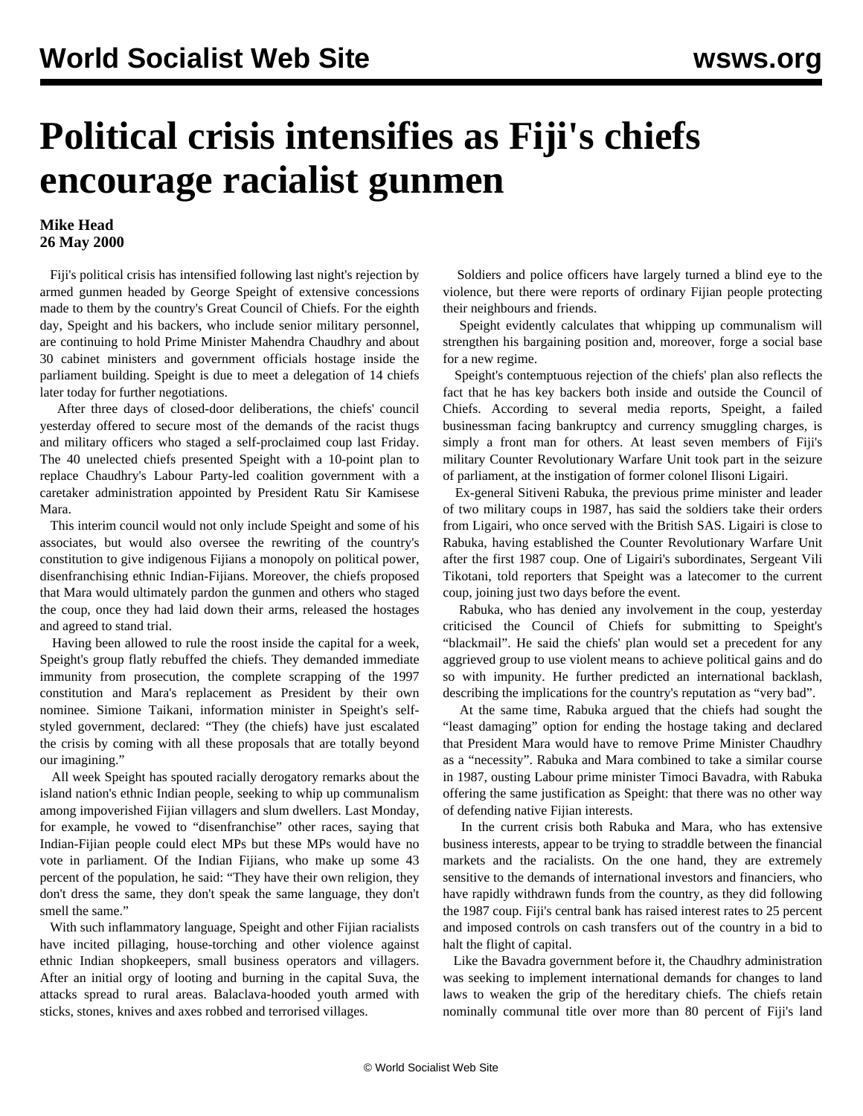## **Political crisis intensifies as Fiji's chiefs encourage racialist gunmen**

## **Mike Head 26 May 2000**

 Fiji's political crisis has intensified following last night's rejection by armed gunmen headed by George Speight of extensive concessions made to them by the country's Great Council of Chiefs. For the eighth day, Speight and his backers, who include senior military personnel, are continuing to hold Prime Minister Mahendra Chaudhry and about 30 cabinet ministers and government officials hostage inside the parliament building. Speight is due to meet a delegation of 14 chiefs later today for further negotiations.

 After three days of closed-door deliberations, the chiefs' council yesterday offered to secure most of the demands of the racist thugs and military officers who staged a self-proclaimed coup last Friday. The 40 unelected chiefs presented Speight with a 10-point plan to replace Chaudhry's Labour Party-led coalition government with a caretaker administration appointed by President Ratu Sir Kamisese Mara.

 This interim council would not only include Speight and some of his associates, but would also oversee the rewriting of the country's constitution to give indigenous Fijians a monopoly on political power, disenfranchising ethnic Indian-Fijians. Moreover, the chiefs proposed that Mara would ultimately pardon the gunmen and others who staged the coup, once they had laid down their arms, released the hostages and agreed to stand trial.

 Having been allowed to rule the roost inside the capital for a week, Speight's group flatly rebuffed the chiefs. They demanded immediate immunity from prosecution, the complete scrapping of the 1997 constitution and Mara's replacement as President by their own nominee. Simione Taikani, information minister in Speight's selfstyled government, declared: "They (the chiefs) have just escalated the crisis by coming with all these proposals that are totally beyond our imagining."

 All week Speight has spouted racially derogatory remarks about the island nation's ethnic Indian people, seeking to whip up communalism among impoverished Fijian villagers and slum dwellers. Last Monday, for example, he vowed to "disenfranchise" other races, saying that Indian-Fijian people could elect MPs but these MPs would have no vote in parliament. Of the Indian Fijians, who make up some 43 percent of the population, he said: "They have their own religion, they don't dress the same, they don't speak the same language, they don't smell the same."

 With such inflammatory language, Speight and other Fijian racialists have incited pillaging, house-torching and other violence against ethnic Indian shopkeepers, small business operators and villagers. After an initial orgy of looting and burning in the capital Suva, the attacks spread to rural areas. Balaclava-hooded youth armed with sticks, stones, knives and axes robbed and terrorised villages.

 Soldiers and police officers have largely turned a blind eye to the violence, but there were reports of ordinary Fijian people protecting their neighbours and friends.

 Speight evidently calculates that whipping up communalism will strengthen his bargaining position and, moreover, forge a social base for a new regime.

 Speight's contemptuous rejection of the chiefs' plan also reflects the fact that he has key backers both inside and outside the Council of Chiefs. According to several media reports, Speight, a failed businessman facing bankruptcy and currency smuggling charges, is simply a front man for others. At least seven members of Fiji's military Counter Revolutionary Warfare Unit took part in the seizure of parliament, at the instigation of former colonel Ilisoni Ligairi.

 Ex-general Sitiveni Rabuka, the previous prime minister and leader of two military coups in 1987, has said the soldiers take their orders from Ligairi, who once served with the British SAS. Ligairi is close to Rabuka, having established the Counter Revolutionary Warfare Unit after the first 1987 coup. One of Ligairi's subordinates, Sergeant Vili Tikotani, told reporters that Speight was a latecomer to the current coup, joining just two days before the event.

 Rabuka, who has denied any involvement in the coup, yesterday criticised the Council of Chiefs for submitting to Speight's "blackmail". He said the chiefs' plan would set a precedent for any aggrieved group to use violent means to achieve political gains and do so with impunity. He further predicted an international backlash, describing the implications for the country's reputation as "very bad".

 At the same time, Rabuka argued that the chiefs had sought the "least damaging" option for ending the hostage taking and declared that President Mara would have to remove Prime Minister Chaudhry as a "necessity". Rabuka and Mara combined to take a similar course in 1987, ousting Labour prime minister Timoci Bavadra, with Rabuka offering the same justification as Speight: that there was no other way of defending native Fijian interests.

 In the current crisis both Rabuka and Mara, who has extensive business interests, appear to be trying to straddle between the financial markets and the racialists. On the one hand, they are extremely sensitive to the demands of international investors and financiers, who have rapidly withdrawn funds from the country, as they did following the 1987 coup. Fiji's central bank has raised interest rates to 25 percent and imposed controls on cash transfers out of the country in a bid to halt the flight of capital.

 Like the Bavadra government before it, the Chaudhry administration was seeking to implement international demands for changes to land laws to weaken the grip of the hereditary chiefs. The chiefs retain nominally communal title over more than 80 percent of Fiji's land